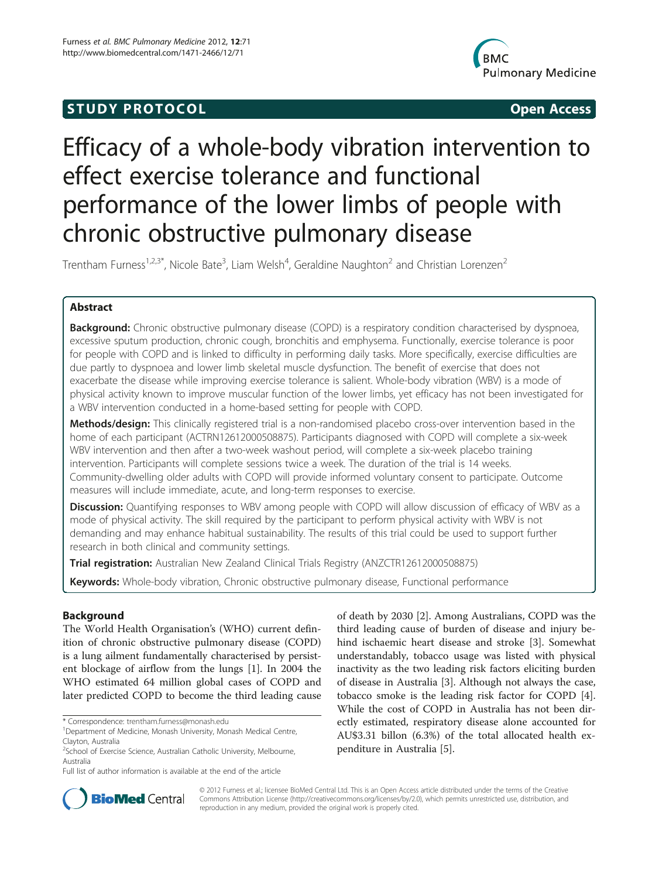# **STUDY PROTOCOL CONSUMING THE STUDY PROTOCOL**



# Efficacy of a whole-body vibration intervention to effect exercise tolerance and functional performance of the lower limbs of people with chronic obstructive pulmonary disease

Trentham Furness<sup>1,2,3\*</sup>, Nicole Bate<sup>3</sup>, Liam Welsh<sup>4</sup>, Geraldine Naughton<sup>2</sup> and Christian Lorenzen<sup>2</sup>

## Abstract

**Background:** Chronic obstructive pulmonary disease (COPD) is a respiratory condition characterised by dyspnoea, excessive sputum production, chronic cough, bronchitis and emphysema. Functionally, exercise tolerance is poor for people with COPD and is linked to difficulty in performing daily tasks. More specifically, exercise difficulties are due partly to dyspnoea and lower limb skeletal muscle dysfunction. The benefit of exercise that does not exacerbate the disease while improving exercise tolerance is salient. Whole-body vibration (WBV) is a mode of physical activity known to improve muscular function of the lower limbs, yet efficacy has not been investigated for a WBV intervention conducted in a home-based setting for people with COPD.

Methods/design: This clinically registered trial is a non-randomised placebo cross-over intervention based in the home of each participant (ACTRN12612000508875). Participants diagnosed with COPD will complete a six-week WBV intervention and then after a two-week washout period, will complete a six-week placebo training intervention. Participants will complete sessions twice a week. The duration of the trial is 14 weeks. Community-dwelling older adults with COPD will provide informed voluntary consent to participate. Outcome measures will include immediate, acute, and long-term responses to exercise.

**Discussion:** Quantifying responses to WBV among people with COPD will allow discussion of efficacy of WBV as a mode of physical activity. The skill required by the participant to perform physical activity with WBV is not demanding and may enhance habitual sustainability. The results of this trial could be used to support further research in both clinical and community settings.

Trial registration: Australian New Zealand Clinical Trials Registry (ANZCTR12612000508875)

Keywords: Whole-body vibration, Chronic obstructive pulmonary disease, Functional performance

## Background

The World Health Organisation's (WHO) current definition of chronic obstructive pulmonary disease (COPD) is a lung ailment fundamentally characterised by persistent blockage of airflow from the lungs [[1\]](#page-4-0). In 2004 the WHO estimated 64 million global cases of COPD and later predicted COPD to become the third leading cause of death by 2030 [[2](#page-4-0)]. Among Australians, COPD was the third leading cause of burden of disease and injury behind ischaemic heart disease and stroke [[3\]](#page-4-0). Somewhat understandably, tobacco usage was listed with physical inactivity as the two leading risk factors eliciting burden of disease in Australia [[3\]](#page-4-0). Although not always the case, tobacco smoke is the leading risk factor for COPD [\[4](#page-4-0)]. While the cost of COPD in Australia has not been directly estimated, respiratory disease alone accounted for AU\$3.31 billon (6.3%) of the total allocated health expenditure in Australia [[5\]](#page-4-0).



© 2012 Furness et al.; licensee BioMed Central Ltd. This is an Open Access article distributed under the terms of the Creative Commons Attribution License [\(http://creativecommons.org/licenses/by/2.0\)](http://creativecommons.org/licenses/by/2.0), which permits unrestricted use, distribution, and reproduction in any medium, provided the original work is properly cited.

<sup>\*</sup> Correspondence: [trentham.furness@monash.edu](mailto:trentham.furness@monash.edu) <sup>1</sup>

<sup>&</sup>lt;sup>1</sup>Department of Medicine, Monash University, Monash Medical Centre, Clayton, Australia

<sup>&</sup>lt;sup>2</sup>School of Exercise Science, Australian Catholic University, Melbourne, Australia

Full list of author information is available at the end of the article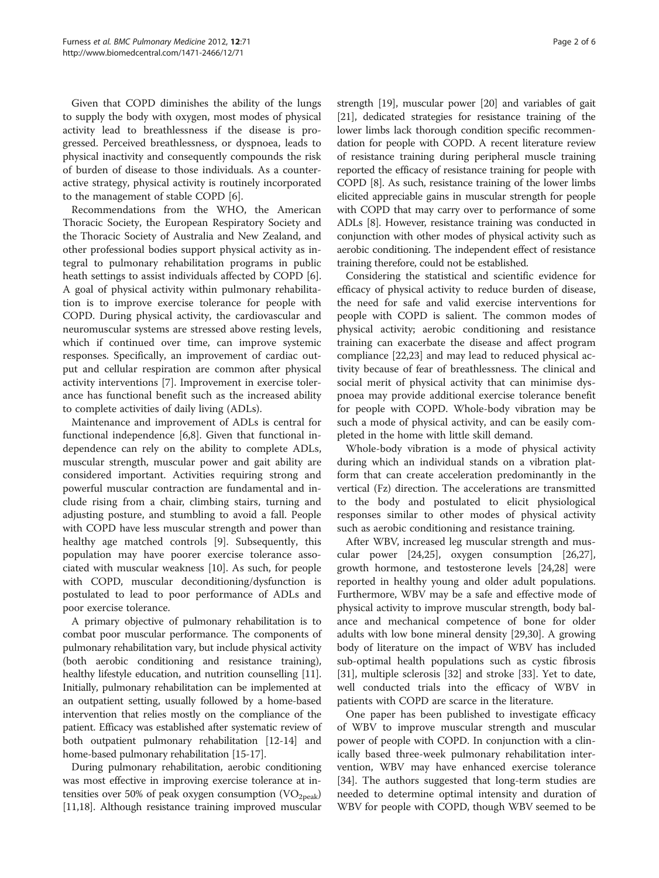Given that COPD diminishes the ability of the lungs to supply the body with oxygen, most modes of physical activity lead to breathlessness if the disease is progressed. Perceived breathlessness, or dyspnoea, leads to physical inactivity and consequently compounds the risk of burden of disease to those individuals. As a counteractive strategy, physical activity is routinely incorporated to the management of stable COPD [[6\]](#page-4-0).

Recommendations from the WHO, the American Thoracic Society, the European Respiratory Society and the Thoracic Society of Australia and New Zealand, and other professional bodies support physical activity as integral to pulmonary rehabilitation programs in public heath settings to assist individuals affected by COPD [\[6](#page-4-0)]. A goal of physical activity within pulmonary rehabilitation is to improve exercise tolerance for people with COPD. During physical activity, the cardiovascular and neuromuscular systems are stressed above resting levels, which if continued over time, can improve systemic responses. Specifically, an improvement of cardiac output and cellular respiration are common after physical activity interventions [\[7](#page-4-0)]. Improvement in exercise tolerance has functional benefit such as the increased ability to complete activities of daily living (ADLs).

Maintenance and improvement of ADLs is central for functional independence [\[6,8](#page-4-0)]. Given that functional independence can rely on the ability to complete ADLs, muscular strength, muscular power and gait ability are considered important. Activities requiring strong and powerful muscular contraction are fundamental and include rising from a chair, climbing stairs, turning and adjusting posture, and stumbling to avoid a fall. People with COPD have less muscular strength and power than healthy age matched controls [[9](#page-4-0)]. Subsequently, this population may have poorer exercise tolerance associated with muscular weakness [\[10](#page-4-0)]. As such, for people with COPD, muscular deconditioning/dysfunction is postulated to lead to poor performance of ADLs and poor exercise tolerance.

A primary objective of pulmonary rehabilitation is to combat poor muscular performance. The components of pulmonary rehabilitation vary, but include physical activity (both aerobic conditioning and resistance training), healthy lifestyle education, and nutrition counselling [[11](#page-4-0)]. Initially, pulmonary rehabilitation can be implemented at an outpatient setting, usually followed by a home-based intervention that relies mostly on the compliance of the patient. Efficacy was established after systematic review of both outpatient pulmonary rehabilitation [\[12-14\]](#page-4-0) and home-based pulmonary rehabilitation [[15](#page-4-0)-[17\]](#page-4-0).

During pulmonary rehabilitation, aerobic conditioning was most effective in improving exercise tolerance at intensities over 50% of peak oxygen consumption  $(\text{VO}_{2\text{peak}})$ [[11,18](#page-4-0)]. Although resistance training improved muscular

strength [\[19\]](#page-4-0), muscular power [\[20\]](#page-4-0) and variables of gait [[21](#page-4-0)], dedicated strategies for resistance training of the lower limbs lack thorough condition specific recommendation for people with COPD. A recent literature review of resistance training during peripheral muscle training reported the efficacy of resistance training for people with COPD [[8](#page-4-0)]. As such, resistance training of the lower limbs elicited appreciable gains in muscular strength for people with COPD that may carry over to performance of some ADLs [[8](#page-4-0)]. However, resistance training was conducted in conjunction with other modes of physical activity such as aerobic conditioning. The independent effect of resistance training therefore, could not be established.

Considering the statistical and scientific evidence for efficacy of physical activity to reduce burden of disease, the need for safe and valid exercise interventions for people with COPD is salient. The common modes of physical activity; aerobic conditioning and resistance training can exacerbate the disease and affect program compliance [[22](#page-4-0),[23](#page-4-0)] and may lead to reduced physical activity because of fear of breathlessness. The clinical and social merit of physical activity that can minimise dyspnoea may provide additional exercise tolerance benefit for people with COPD. Whole-body vibration may be such a mode of physical activity, and can be easily completed in the home with little skill demand.

Whole-body vibration is a mode of physical activity during which an individual stands on a vibration platform that can create acceleration predominantly in the vertical (Fz) direction. The accelerations are transmitted to the body and postulated to elicit physiological responses similar to other modes of physical activity such as aerobic conditioning and resistance training.

After WBV, increased leg muscular strength and muscular power [[24](#page-4-0),[25](#page-4-0)], oxygen consumption [\[26,27](#page-4-0)], growth hormone, and testosterone levels [\[24,28\]](#page-4-0) were reported in healthy young and older adult populations. Furthermore, WBV may be a safe and effective mode of physical activity to improve muscular strength, body balance and mechanical competence of bone for older adults with low bone mineral density [[29,30\]](#page-4-0). A growing body of literature on the impact of WBV has included sub-optimal health populations such as cystic fibrosis [[31\]](#page-4-0), multiple sclerosis [[32\]](#page-4-0) and stroke [[33](#page-4-0)]. Yet to date, well conducted trials into the efficacy of WBV in patients with COPD are scarce in the literature.

One paper has been published to investigate efficacy of WBV to improve muscular strength and muscular power of people with COPD. In conjunction with a clinically based three-week pulmonary rehabilitation intervention, WBV may have enhanced exercise tolerance [[34\]](#page-4-0). The authors suggested that long-term studies are needed to determine optimal intensity and duration of WBV for people with COPD, though WBV seemed to be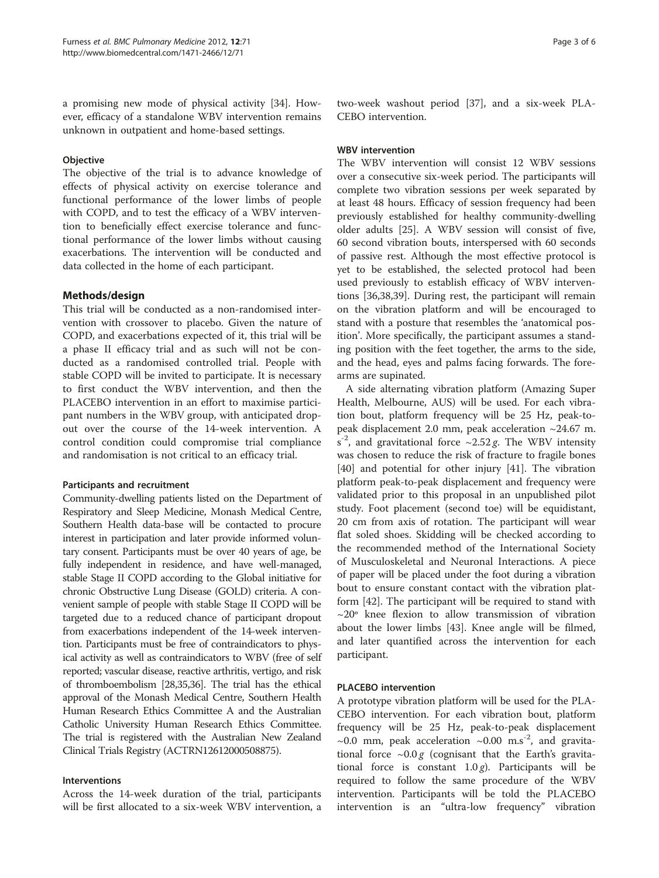a promising new mode of physical activity [[34](#page-4-0)]. However, efficacy of a standalone WBV intervention remains unknown in outpatient and home-based settings.

#### **Objective**

The objective of the trial is to advance knowledge of effects of physical activity on exercise tolerance and functional performance of the lower limbs of people with COPD, and to test the efficacy of a WBV intervention to beneficially effect exercise tolerance and functional performance of the lower limbs without causing exacerbations. The intervention will be conducted and data collected in the home of each participant.

#### Methods/design

This trial will be conducted as a non-randomised intervention with crossover to placebo. Given the nature of COPD, and exacerbations expected of it, this trial will be a phase II efficacy trial and as such will not be conducted as a randomised controlled trial. People with stable COPD will be invited to participate. It is necessary to first conduct the WBV intervention, and then the PLACEBO intervention in an effort to maximise participant numbers in the WBV group, with anticipated dropout over the course of the 14-week intervention. A control condition could compromise trial compliance and randomisation is not critical to an efficacy trial.

#### Participants and recruitment

Community-dwelling patients listed on the Department of Respiratory and Sleep Medicine, Monash Medical Centre, Southern Health data-base will be contacted to procure interest in participation and later provide informed voluntary consent. Participants must be over 40 years of age, be fully independent in residence, and have well-managed, stable Stage II COPD according to the Global initiative for chronic Obstructive Lung Disease (GOLD) criteria. A convenient sample of people with stable Stage II COPD will be targeted due to a reduced chance of participant dropout from exacerbations independent of the 14-week intervention. Participants must be free of contraindicators to physical activity as well as contraindicators to WBV (free of self reported; vascular disease, reactive arthritis, vertigo, and risk of thromboembolism [\[28,35,36](#page-4-0)]. The trial has the ethical approval of the Monash Medical Centre, Southern Health Human Research Ethics Committee A and the Australian Catholic University Human Research Ethics Committee. The trial is registered with the Australian New Zealand Clinical Trials Registry (ACTRN12612000508875).

#### Interventions

Across the 14-week duration of the trial, participants will be first allocated to a six-week WBV intervention, a

two-week washout period [\[37](#page-4-0)], and a six-week PLA-CEBO intervention.

#### WBV intervention

The WBV intervention will consist 12 WBV sessions over a consecutive six-week period. The participants will complete two vibration sessions per week separated by at least 48 hours. Efficacy of session frequency had been previously established for healthy community-dwelling older adults [\[25](#page-4-0)]. A WBV session will consist of five, 60 second vibration bouts, interspersed with 60 seconds of passive rest. Although the most effective protocol is yet to be established, the selected protocol had been used previously to establish efficacy of WBV interventions [[36](#page-4-0),[38,39](#page-4-0)]. During rest, the participant will remain on the vibration platform and will be encouraged to stand with a posture that resembles the 'anatomical position'. More specifically, the participant assumes a standing position with the feet together, the arms to the side, and the head, eyes and palms facing forwards. The forearms are supinated.

A side alternating vibration platform (Amazing Super Health, Melbourne, AUS) will be used. For each vibration bout, platform frequency will be 25 Hz, peak-topeak displacement 2.0 mm, peak acceleration ~24.67 m.  $s^{-2}$ , and gravitational force  $\sim$  2.52 g. The WBV intensity was chosen to reduce the risk of fracture to fragile bones [[40\]](#page-4-0) and potential for other injury [\[41\]](#page-4-0). The vibration platform peak-to-peak displacement and frequency were validated prior to this proposal in an unpublished pilot study. Foot placement (second toe) will be equidistant, 20 cm from axis of rotation. The participant will wear flat soled shoes. Skidding will be checked according to the recommended method of the International Society of Musculoskeletal and Neuronal Interactions. A piece of paper will be placed under the foot during a vibration bout to ensure constant contact with the vibration platform [[42\]](#page-4-0). The participant will be required to stand with  $\sim$ 20 $\degree$  knee flexion to allow transmission of vibration about the lower limbs [[43\]](#page-4-0). Knee angle will be filmed, and later quantified across the intervention for each participant.

#### PLACEBO intervention

A prototype vibration platform will be used for the PLA-CEBO intervention. For each vibration bout, platform frequency will be 25 Hz, peak-to-peak displacement  $\sim$ 0.0 mm, peak acceleration  $\sim$ 0.00 m.s<sup>-2</sup>, and gravitational force  $\sim 0.0 g$  (cognisant that the Earth's gravitational force is constant  $1.0 g$ ). Participants will be required to follow the same procedure of the WBV intervention. Participants will be told the PLACEBO intervention is an "ultra-low frequency" vibration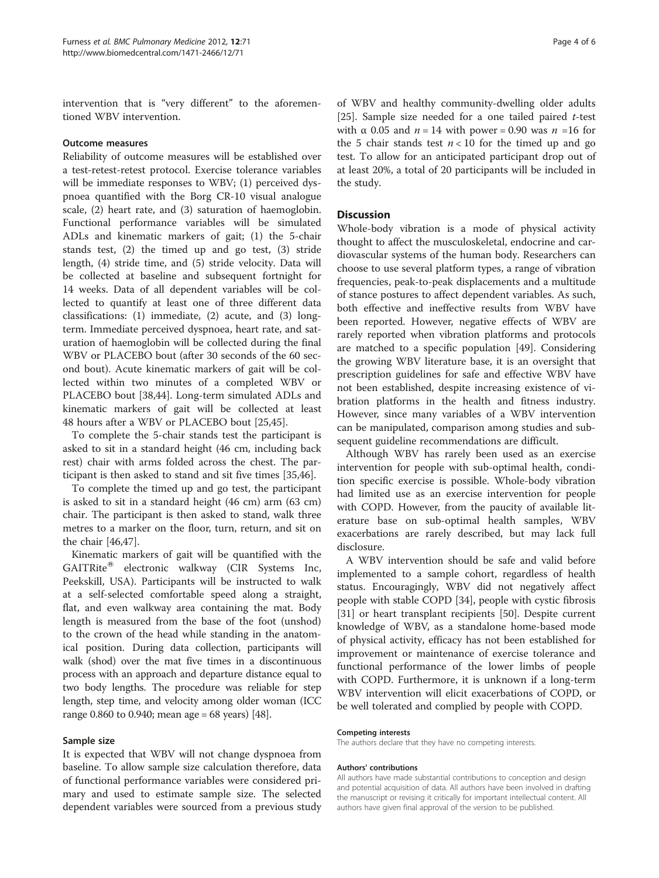intervention that is "very different" to the aforementioned WBV intervention.

#### Outcome measures

Reliability of outcome measures will be established over a test-retest-retest protocol. Exercise tolerance variables will be immediate responses to WBV; (1) perceived dyspnoea quantified with the Borg CR-10 visual analogue scale, (2) heart rate, and (3) saturation of haemoglobin. Functional performance variables will be simulated ADLs and kinematic markers of gait; (1) the 5-chair stands test, (2) the timed up and go test, (3) stride length, (4) stride time, and (5) stride velocity. Data will be collected at baseline and subsequent fortnight for 14 weeks. Data of all dependent variables will be collected to quantify at least one of three different data classifications: (1) immediate, (2) acute, and (3) longterm. Immediate perceived dyspnoea, heart rate, and saturation of haemoglobin will be collected during the final WBV or PLACEBO bout (after 30 seconds of the 60 second bout). Acute kinematic markers of gait will be collected within two minutes of a completed WBV or PLACEBO bout [[38,44\]](#page-4-0). Long-term simulated ADLs and kinematic markers of gait will be collected at least 48 hours after a WBV or PLACEBO bout [\[25](#page-4-0)[,45\]](#page-5-0).

To complete the 5-chair stands test the participant is asked to sit in a standard height (46 cm, including back rest) chair with arms folded across the chest. The participant is then asked to stand and sit five times [[35,](#page-4-0)[46\]](#page-5-0).

To complete the timed up and go test, the participant is asked to sit in a standard height (46 cm) arm (63 cm) chair. The participant is then asked to stand, walk three metres to a marker on the floor, turn, return, and sit on the chair [\[46,47\]](#page-5-0).

Kinematic markers of gait will be quantified with the  $GAITRite<sup>®</sup>$  electronic walkway (CIR Systems Inc, Peekskill, USA). Participants will be instructed to walk at a self-selected comfortable speed along a straight, flat, and even walkway area containing the mat. Body length is measured from the base of the foot (unshod) to the crown of the head while standing in the anatomical position. During data collection, participants will walk (shod) over the mat five times in a discontinuous process with an approach and departure distance equal to two body lengths. The procedure was reliable for step length, step time, and velocity among older woman (ICC range 0.860 to 0.940; mean age = 68 years) [[48](#page-5-0)].

#### Sample size

It is expected that WBV will not change dyspnoea from baseline. To allow sample size calculation therefore, data of functional performance variables were considered primary and used to estimate sample size. The selected dependent variables were sourced from a previous study

of WBV and healthy community-dwelling older adults [[25\]](#page-4-0). Sample size needed for a one tailed paired  $t$ -test with  $\alpha$  0.05 and  $n = 14$  with power = 0.90 was  $n = 16$  for the 5 chair stands test  $n < 10$  for the timed up and go test. To allow for an anticipated participant drop out of at least 20%, a total of 20 participants will be included in the study.

#### **Discussion**

Whole-body vibration is a mode of physical activity thought to affect the musculoskeletal, endocrine and cardiovascular systems of the human body. Researchers can choose to use several platform types, a range of vibration frequencies, peak-to-peak displacements and a multitude of stance postures to affect dependent variables. As such, both effective and ineffective results from WBV have been reported. However, negative effects of WBV are rarely reported when vibration platforms and protocols are matched to a specific population [\[49](#page-5-0)]. Considering the growing WBV literature base, it is an oversight that prescription guidelines for safe and effective WBV have not been established, despite increasing existence of vibration platforms in the health and fitness industry. However, since many variables of a WBV intervention can be manipulated, comparison among studies and subsequent guideline recommendations are difficult.

Although WBV has rarely been used as an exercise intervention for people with sub-optimal health, condition specific exercise is possible. Whole-body vibration had limited use as an exercise intervention for people with COPD. However, from the paucity of available literature base on sub-optimal health samples, WBV exacerbations are rarely described, but may lack full disclosure.

A WBV intervention should be safe and valid before implemented to a sample cohort, regardless of health status. Encouragingly, WBV did not negatively affect people with stable COPD [[34\]](#page-4-0), people with cystic fibrosis [[31\]](#page-4-0) or heart transplant recipients [[50](#page-5-0)]. Despite current knowledge of WBV, as a standalone home-based mode of physical activity, efficacy has not been established for improvement or maintenance of exercise tolerance and functional performance of the lower limbs of people with COPD. Furthermore, it is unknown if a long-term WBV intervention will elicit exacerbations of COPD, or be well tolerated and complied by people with COPD.

#### Competing interests

The authors declare that they have no competing interests.

#### Authors' contributions

All authors have made substantial contributions to conception and design and potential acquisition of data. All authors have been involved in drafting the manuscript or revising it critically for important intellectual content. All authors have given final approval of the version to be published.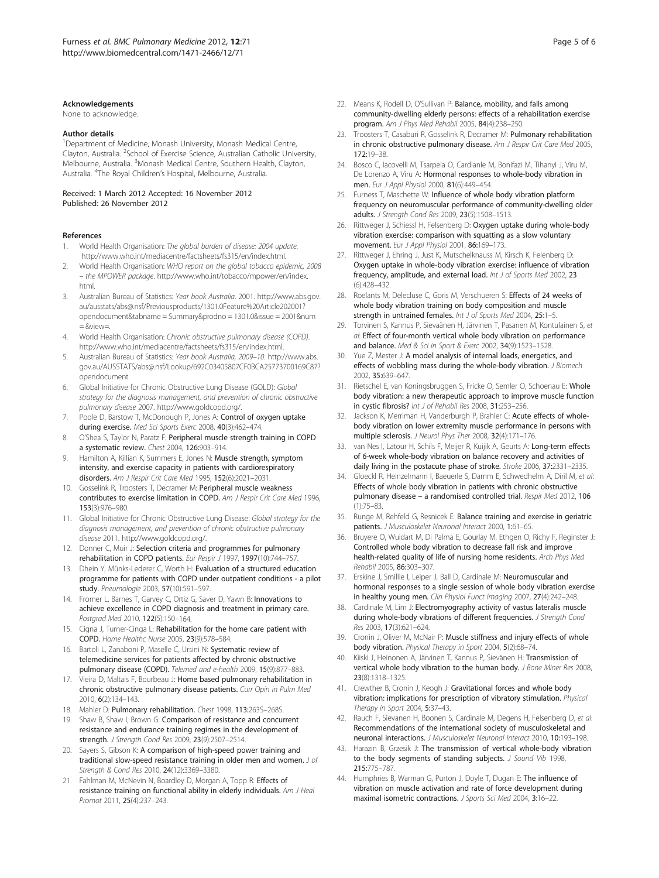#### <span id="page-4-0"></span>Acknowledgements

None to acknowledge.

#### Author details

<sup>1</sup>Department of Medicine, Monash University, Monash Medical Centre, Clayton, Australia. <sup>2</sup>School of Exercise Science, Australian Catholic University, Melbourne, Australia. <sup>3</sup>Monash Medical Centre, Southern Health, Clayton, Australia. <sup>4</sup>The Royal Children's Hospital, Melbourne, Australia.

#### Received: 1 March 2012 Accepted: 16 November 2012 Published: 26 November 2012

#### References

- 1. World Health Organisation: The global burden of disease: 2004 update. [http://www.who.int/mediacentre/factsheets/fs315/en/index.html.](http://www.who.int/mediacentre/factsheets/fs315/en/index.html)
- 2. World Health Organisation: WHO report on the global tobacco epidemic, 2008 – the MPOWER package. [http://www.who.int/tobacco/mpower/en/index.](http://www.who.int/tobacco/mpower/en/index.html) [html.](http://www.who.int/tobacco/mpower/en/index.html)
- 3. Australian Bureau of Statistics: Year book Australia. 2001. [http://www.abs.gov.](http://www.abs.gov.au/ausstats/abs@.nsf/Previousproducts/1301.0Feature%20Article202001?opendocument&tabname = Summary&prodno = 1301.0&issue = 2001&num = &view=) [au/ausstats/abs@.nsf/Previousproducts/1301.0Feature%20Article202001?](http://www.abs.gov.au/ausstats/abs@.nsf/Previousproducts/1301.0Feature%20Article202001?opendocument&tabname = Summary&prodno = 1301.0&issue = 2001&num = &view=) [opendocument&tabname = Summary&prodno = 1301.0&issue = 2001&num](http://www.abs.gov.au/ausstats/abs@.nsf/Previousproducts/1301.0Feature%20Article202001?opendocument&tabname = Summary&prodno = 1301.0&issue = 2001&num = &view=)  $=$   $&$ view $=$
- 4. World Health Organisation: Chronic obstructive pulmonary disease (COPD). [http://www.who.int/mediacentre/factsheets/fs315/en/index.html.](http://www.who.int/mediacentre/factsheets/fs315/en/index.html)
- 5. Australian Bureau of Statistics: Year book Australia, 2009–10. [http://www.abs.](http://www.abs.gov.au/AUSSTATS/abs@.nsf/Lookup/692C03405807CF0BCA25773700169C87?opendocument) [gov.au/AUSSTATS/abs@.nsf/Lookup/692C03405807CF0BCA25773700169C87?](http://www.abs.gov.au/AUSSTATS/abs@.nsf/Lookup/692C03405807CF0BCA25773700169C87?opendocument) [opendocument](http://www.abs.gov.au/AUSSTATS/abs@.nsf/Lookup/692C03405807CF0BCA25773700169C87?opendocument).
- 6. Global Initiative for Chronic Obstructive Lung Disease (GOLD): Global strategy for the diagnosis management, and prevention of chronic obstructive pulmonary disease 2007. [http://www.goldcopd.org/.](http://www.goldcopd.org/)
- 7. Poole D, Barstow T, McDonough P, Jones A: Control of oxygen uptake during exercise. Med Sci Sports Exerc 2008, 40(3):462-474.
- 8. O'Shea S, Taylor N, Paratz F: Peripheral muscle strength training in COPD a systematic review. Chest 2004, 126:903–914.
- 9. Hamilton A, Killian K, Summers E, Jones N: Muscle strength, symptom intensity, and exercise capacity in patients with cardiorespiratory disorders. Am J Respir Crit Care Med 1995, 152(6):2021–2031.
- 10. Gosselink R, Troosters T, Decramer M: Peripheral muscle weakness contributes to exercise limitation in COPD. Am J Respir Crit Care Med 1996, 153(3):976–980.
- 11. Global Initiative for Chronic Obstructive Lung Disease: Global strategy for the diagnosis management, and prevention of chronic obstructive pulmonary disease 2011. [http://www.goldcopd.org/.](http://www.goldcopd.org/)
- 12. Donner C, Muir J: Selection criteria and programmes for pulmonary rehabilitation in COPD patients. Eur Respir J 1997, 1997(10):744–757.
- 13. Dhein Y, Münks-Lederer C, Worth H: Evaluation of a structured education programme for patients with COPD under outpatient conditions - a pilot study. Pneumologie 2003, 57(10):591–597.
- 14. Fromer L, Barnes T, Garvey C, Ortiz G, Saver D, Yawn B: Innovations to achieve excellence in COPD diagnosis and treatment in primary care. Postgrad Med 2010, 122(5):150–164.
- 15. Cigna J, Turner-Cinga L: Rehabilitation for the home care patient with COPD. Home Healthc Nurse 2005, 23(9):578–584.
- 16. Bartoli L, Zanaboni P, Maselle C, Ursini N: Systematic review of telemedicine services for patients affected by chronic obstructive pulmonary disease (COPD). Telemed and e-health 2009, 15(9):877–883.
- 17. Vieira D, Maltais F, Bourbeau J: Home based pulmonary rehabilitation in chronic obstructive pulmonary disease patients. Curr Opin in Pulm Med 2010, 6(2):134–143.
- 18. Mahler D: Pulmonary rehabilitation. Chest 1998, 113:2635-268S.
- 19. Shaw B, Shaw I, Brown G: Comparison of resistance and concurrent resistance and endurance training regimes in the development of strength. J Strength Cond Res 2009, 23(9):2507–2514.
- 20. Sayers S, Gibson K: A comparison of high-speed power training and traditional slow-speed resistance training in older men and women. J of Strength & Cond Res 2010, 24(12):3369–3380.
- 21. Fahlman M, McNevin N, Boardley D, Morgan A, Topp R: Effects of resistance training on functional ability in elderly individuals. Am J Heal Promot 2011, 25(4):237–243.
- 22. Means K, Rodell D, O'Sullivan P: Balance, mobility, and falls among community-dwelling elderly persons: effects of a rehabilitation exercise program. Am J Phys Med Rehabil 2005, 84(4):238–250.
- 23. Troosters T, Casaburi R, Gosselink R, Decramer M: Pulmonary rehabilitation in chronic obstructive pulmonary disease. Am J Respir Crit Care Med 2005, 172:19–38.
- 24. Bosco C, Iacovelli M, Tsarpela O, Cardianle M, Bonifazi M, Tihanyi J, Viru M, De Lorenzo A, Viru A: Hormonal responses to whole-body vibration in men. Eur J Appl Physiol 2000, 81(6):449–454.
- 25. Furness T, Maschette W: Influence of whole body vibration platform frequency on neuromuscular performance of community-dwelling older adults. J Strength Cond Res 2009, 23(5):1508–1513.
- 26. Rittweger J, Schiessl H, Felsenberg D: Oxygen uptake during whole-body vibration exercise: comparison with squatting as a slow voluntary movement. Eur J Appl Physiol 2001, 86:169–173.
- 27. Rittweger J, Ehring J, Just K, Mutschelknauss M, Kirsch K, Felenberg D: Oxygen uptake in whole-body vibration exercise: influence of vibration frequency, amplitude, and external load. Int J of Sports Med 2002, 23 (6):428–432.
- 28. Roelants M, Delecluse C, Goris M, Verschueren S: Effects of 24 weeks of whole body vibration training on body composition and muscle strength in untrained females. Int J of Sports Med 2004, 25:1-5.
- 29. Torvinen S, Kannus P, Sievaänen H, Järvinen T, Pasanen M, Kontulainen S, et al: Effect of four-month vertical whole body vibration on performance and balance. Med & Sci in Sport & Exerc 2002, 34(9):1523-1528.
- Yue Z, Mester J: A model analysis of internal loads, energetics, and effects of wobbling mass during the whole-body vibration. J Biomech 2002, 35:639–647.
- 31. Rietschel E, van Koningsbruggen S, Fricke O, Semler O, Schoenau E: Whole body vibration: a new therapeutic approach to improve muscle function in cystic fibrosis? Int J of Rehabil Res 2008, 31:253–256.
- 32. Jackson K, Merriman H, Vanderburgh P, Brahler C: Acute effects of wholebody vibration on lower extremity muscle performance in persons with multiple sclerosis. J Neurol Phys Ther 2008, 32(4):171–176.
- 33. van Nes I, Latour H, Schils F, Meijer R, Kuijik A, Geurts A: Long-term effects of 6-week whole-body vibration on balance recovery and activities of daily living in the postacute phase of stroke. Stroke 2006, 37:2331-2335.
- Gloeckl R, Heinzelmann I, Baeuerle S, Damm E, Schwedhelm A, Diril M, et al: Effects of whole body vibration in patients with chronic obstructive pulmonary disease – a randomised controlled trial. Respir Med 2012, 106 (1):75–83.
- 35. Runge M, Rehfeld G, Resnicek E: Balance training and exercise in geriatric patients. J Musculoskelet Neuronal Interact 2000, 1:61–65.
- 36. Bruyere O, Wuidart M, Di Palma E, Gourlay M, Ethgen O, Richy F, Reginster J: Controlled whole body vibration to decrease fall risk and improve health-related quality of life of nursing home residents. Arch Phys Med Rehabil 2005, 86:303–307.
- 37. Erskine J, Smillie I, Leiper J, Ball D, Cardinale M: Neuromuscular and hormonal responses to a single session of whole body vibration exercise in healthy young men. Clin Physiol Funct Imaging 2007, 27(4):242-248.
- 38. Cardinale M, Lim J: Electromyography activity of vastus lateralis muscle during whole-body vibrations of different frequencies. J Strength Cond Res 2003, 17(3):621–624.
- Cronin J, Oliver M, McNair P: Muscle stiffness and injury effects of whole body vibration. Physical Therapy in Sport 2004, 5(2):68–74.
- 40. Kiiski J, Heinonen A, Järvinen T, Kannus P, Sievänen H: Transmission of vertical whole body vibration to the human body. J Bone Miner Res 2008, 23(8):1318–1325.
- 41. Crewther B, Cronin J, Keogh J: Gravitational forces and whole body vibration: implications for prescription of vibratory stimulation. Physical Therapy in Sport 2004, 5:37–43.
- 42. Rauch F, Sievanen H, Boonen S, Cardinale M, Degens H, Felsenberg D, et al: Recommendations of the international society of musculoskeletal and neuronal interactions. J Musculoskelet Neuronal Interact 2010, 10:193–198.
- 43. Harazin B, Grzesik J: The transmission of vertical whole-body vibration to the body segments of standing subjects. J Sound Vib 1998, 215:775–787.
- Humphries B, Warman G, Purton J, Doyle T, Dugan E: The influence of vibration on muscle activation and rate of force development during maximal isometric contractions. J Sports Sci Med 2004, 3:16-22.